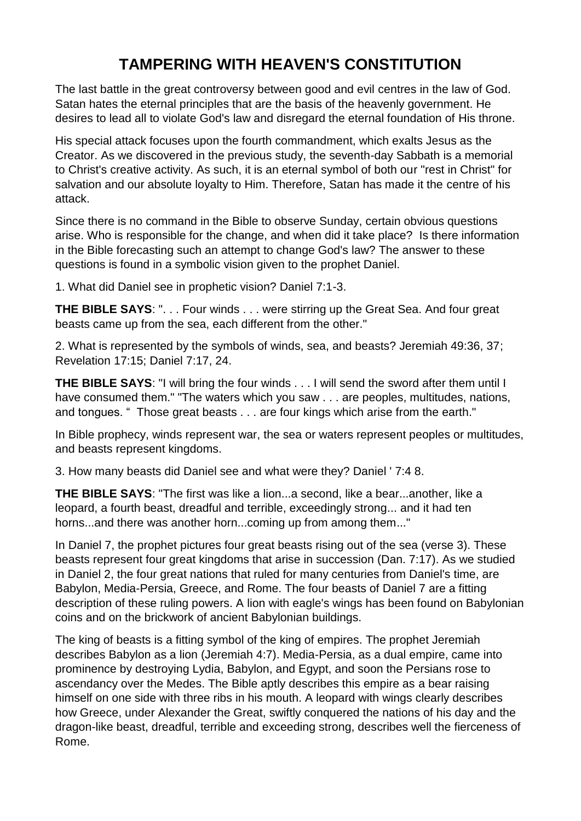## **TAMPERING WITH HEAVEN'S CONSTITUTION**

The last battle in the great controversy between good and evil centres in the law of God. Satan hates the eternal principles that are the basis of the heavenly government. He desires to lead all to violate God's law and disregard the eternal foundation of His throne.

His special attack focuses upon the fourth commandment, which exalts Jesus as the Creator. As we discovered in the previous study, the seventh-day Sabbath is a memorial to Christ's creative activity. As such, it is an eternal symbol of both our "rest in Christ" for salvation and our absolute loyalty to Him. Therefore, Satan has made it the centre of his attack.

Since there is no command in the Bible to observe Sunday, certain obvious questions arise. Who is responsible for the change, and when did it take place? Is there information in the Bible forecasting such an attempt to change God's law? The answer to these questions is found in a symbolic vision given to the prophet Daniel.

1. What did Daniel see in prophetic vision? Daniel 7:1-3.

**THE BIBLE SAYS**: ". . . Four winds . . . were stirring up the Great Sea. And four great beasts came up from the sea, each different from the other."

2. What is represented by the symbols of winds, sea, and beasts? Jeremiah 49:36, 37; Revelation 17:15; Daniel 7:17, 24.

**THE BIBLE SAYS**: "I will bring the four winds . . . I will send the sword after them until I have consumed them." "The waters which you saw . . . are peoples, multitudes, nations, and tongues. " Those great beasts . . . are four kings which arise from the earth."

In Bible prophecy, winds represent war, the sea or waters represent peoples or multitudes, and beasts represent kingdoms.

3. How many beasts did Daniel see and what were they? Daniel ' 7:4 8.

**THE BIBLE SAYS**: "The first was like a lion...a second, like a bear...another, like a leopard, a fourth beast, dreadful and terrible, exceedingly strong... and it had ten horns...and there was another horn...coming up from among them..."

In Daniel 7, the prophet pictures four great beasts rising out of the sea (verse 3). These beasts represent four great kingdoms that arise in succession (Dan. 7:17). As we studied in Daniel 2, the four great nations that ruled for many centuries from Daniel's time, are Babylon, Media-Persia, Greece, and Rome. The four beasts of Daniel 7 are a fitting description of these ruling powers. A lion with eagle's wings has been found on Babylonian coins and on the brickwork of ancient Babylonian buildings.

The king of beasts is a fitting symbol of the king of empires. The prophet Jeremiah describes Babylon as a lion (Jeremiah 4:7). Media-Persia, as a dual empire, came into prominence by destroying Lydia, Babylon, and Egypt, and soon the Persians rose to ascendancy over the Medes. The Bible aptly describes this empire as a bear raising himself on one side with three ribs in his mouth. A leopard with wings clearly describes how Greece, under Alexander the Great, swiftly conquered the nations of his day and the dragon-like beast, dreadful, terrible and exceeding strong, describes well the fierceness of Rome.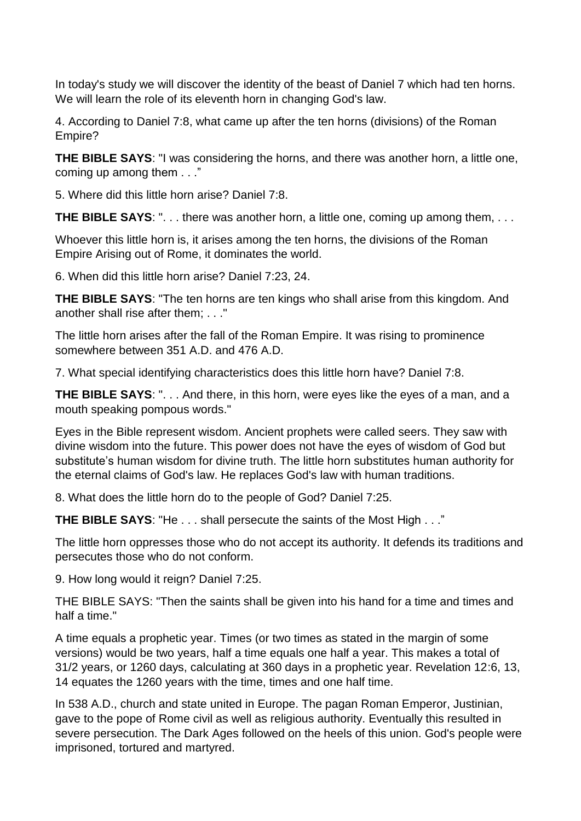In today's study we will discover the identity of the beast of Daniel 7 which had ten horns. We will learn the role of its eleventh horn in changing God's law.

4. According to Daniel 7:8, what came up after the ten horns (divisions) of the Roman Empire?

**THE BIBLE SAYS**: "I was considering the horns, and there was another horn, a little one, coming up among them . . ."

5. Where did this little horn arise? Daniel 7:8.

**THE BIBLE SAYS**: ". . . there was another horn, a little one, coming up among them, . . .

Whoever this little horn is, it arises among the ten horns, the divisions of the Roman Empire Arising out of Rome, it dominates the world.

6. When did this little horn arise? Daniel 7:23, 24.

**THE BIBLE SAYS**: "The ten horns are ten kings who shall arise from this kingdom. And another shall rise after them; . . ."

The little horn arises after the fall of the Roman Empire. It was rising to prominence somewhere between 351 A.D. and 476 A.D.

7. What special identifying characteristics does this little horn have? Daniel 7:8.

**THE BIBLE SAYS**: ". . . And there, in this horn, were eyes like the eyes of a man, and a mouth speaking pompous words."

Eyes in the Bible represent wisdom. Ancient prophets were called seers. They saw with divine wisdom into the future. This power does not have the eyes of wisdom of God but substitute's human wisdom for divine truth. The little horn substitutes human authority for the eternal claims of God's law. He replaces God's law with human traditions.

8. What does the little horn do to the people of God? Daniel 7:25.

**THE BIBLE SAYS**: "He . . . shall persecute the saints of the Most High . . ."

The little horn oppresses those who do not accept its authority. It defends its traditions and persecutes those who do not conform.

9. How long would it reign? Daniel 7:25.

THE BIBLE SAYS: "Then the saints shall be given into his hand for a time and times and half a time."

A time equals a prophetic year. Times (or two times as stated in the margin of some versions) would be two years, half a time equals one half a year. This makes a total of 31/2 years, or 1260 days, calculating at 360 days in a prophetic year. Revelation 12:6, 13, 14 equates the 1260 years with the time, times and one half time.

In 538 A.D., church and state united in Europe. The pagan Roman Emperor, Justinian, gave to the pope of Rome civil as well as religious authority. Eventually this resulted in severe persecution. The Dark Ages followed on the heels of this union. God's people were imprisoned, tortured and martyred.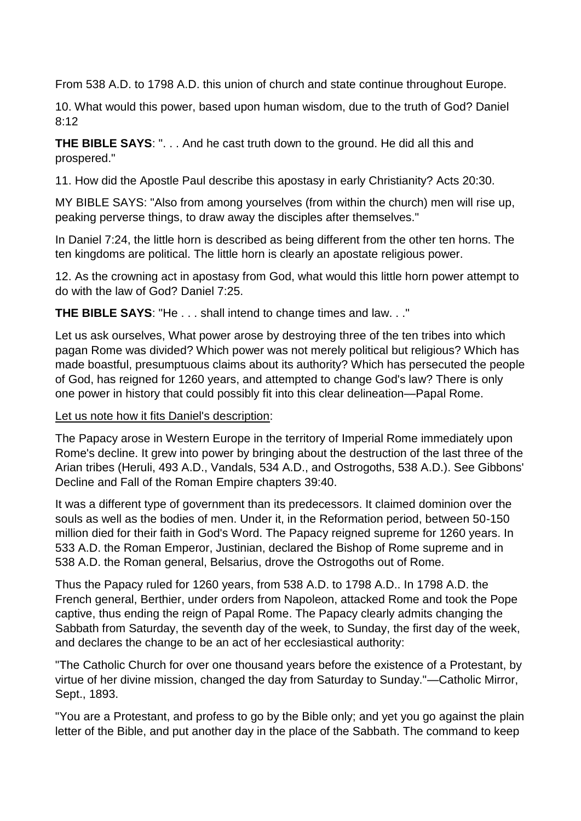From 538 A.D. to 1798 A.D. this union of church and state continue throughout Europe.

10. What would this power, based upon human wisdom, due to the truth of God? Daniel 8:12

**THE BIBLE SAYS**: ". . . And he cast truth down to the ground. He did all this and prospered."

11. How did the Apostle Paul describe this apostasy in early Christianity? Acts 20:30.

MY BIBLE SAYS: "Also from among yourselves (from within the church) men will rise up, peaking perverse things, to draw away the disciples after themselves."

In Daniel 7:24, the little horn is described as being different from the other ten horns. The ten kingdoms are political. The little horn is clearly an apostate religious power.

12. As the crowning act in apostasy from God, what would this little horn power attempt to do with the law of God? Daniel 7:25.

## **THE BIBLE SAYS**: "He . . . shall intend to change times and law. . ."

Let us ask ourselves, What power arose by destroying three of the ten tribes into which pagan Rome was divided? Which power was not merely political but religious? Which has made boastful, presumptuous claims about its authority? Which has persecuted the people of God, has reigned for 1260 years, and attempted to change God's law? There is only one power in history that could possibly fit into this clear delineation—Papal Rome.

## Let us note how it fits Daniel's description:

The Papacy arose in Western Europe in the territory of Imperial Rome immediately upon Rome's decline. It grew into power by bringing about the destruction of the last three of the Arian tribes (Heruli, 493 A.D., Vandals, 534 A.D., and Ostrogoths, 538 A.D.). See Gibbons' Decline and Fall of the Roman Empire chapters 39:40.

It was a different type of government than its predecessors. It claimed dominion over the souls as well as the bodies of men. Under it, in the Reformation period, between 50-150 million died for their faith in God's Word. The Papacy reigned supreme for 1260 years. In 533 A.D. the Roman Emperor, Justinian, declared the Bishop of Rome supreme and in 538 A.D. the Roman general, Belsarius, drove the Ostrogoths out of Rome.

Thus the Papacy ruled for 1260 years, from 538 A.D. to 1798 A.D.. In 1798 A.D. the French general, Berthier, under orders from Napoleon, attacked Rome and took the Pope captive, thus ending the reign of Papal Rome. The Papacy clearly admits changing the Sabbath from Saturday, the seventh day of the week, to Sunday, the first day of the week, and declares the change to be an act of her ecclesiastical authority:

"The Catholic Church for over one thousand years before the existence of a Protestant, by virtue of her divine mission, changed the day from Saturday to Sunday."—Catholic Mirror, Sept., 1893.

"You are a Protestant, and profess to go by the Bible only; and yet you go against the plain letter of the Bible, and put another day in the place of the Sabbath. The command to keep